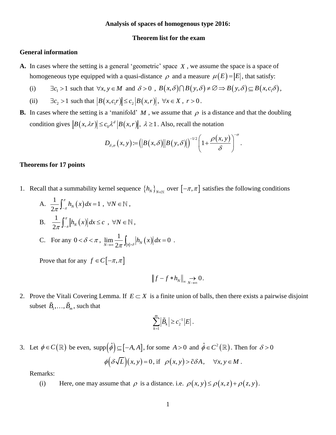## **Analysis of spaces of homogenous type 2016:**

#### **Theorem list for the exam**

# **General information**

- **A.** In cases where the setting is a general 'geometric' space *X* , we assume the space is a space of homogeneous type equipped with a quasi-distance  $\rho$  and a measure  $\mu(E) = |E|$ , that satisfy: neous type equipped with a quasi-distance  $\rho$  and a measure  $\mu(E) = |E|$ , that satisfy:<br> $\exists c_1 > 1$  such that  $\forall x, y \in M$  and  $\delta > 0$ ,  $B(x, \delta) \cap B(y, \delta) \neq \emptyset \Rightarrow B(y, \delta) \subseteq B(x, c_1 \delta)$ ,
	- (i)
	- (ii)  $\exists c_2 > 1$  such that  $|B(x, c_1 r)| \le c_2 |B(x, r)|$ ,  $\forall x \in X, r > 0$ .
- **B.** In cases where the setting is a 'manifold' M, we assume that  $\rho$  is a distance and that the doubling condition gives  $|B(x, \lambda r)| \leq c_0 \lambda^d |B(x, r)|$ ,  $\lambda \geq 1$ . Also, recall the notation

$$
c_0 \lambda^d |B(x,r)|
$$
,  $\lambda \ge 1$ . Also, recall the notation  

$$
D_{\delta,\sigma}(x,y) := (|B(x,\delta)||B(y,\delta)|)^{-1/2} \left(1 + \frac{\rho(x,y)}{\delta}\right)^{-\sigma}.
$$

#### **Theorems for 17 points**

- 1. Recall that a summability kernel sequence  $\{h_N\}_{N\in\mathbb{N}}$  over  $[-\pi,\pi]$  satisfies the following conditions
	- A.  $\frac{1}{2} \int_0^x h_N(x)$  $\frac{1}{\sqrt{\pi}} \int_0^{\pi} h_N(x) dx = 1$  $\frac{1}{2\pi}\int_{-\pi}^{\pi}h_N(x)dx$  $\frac{1}{\pi} \int_{-\pi}^{\pi} h_N(x) dx = 1$ ,  $\forall N \in \mathbb{N}$ , B.  $\frac{1}{2} \int_{0}^{x} |h_{N}(x)|$ 1  $\frac{1}{2\pi} \int_{-\pi}^{\pi} |h_N(x)| dx \leq c$  $\frac{1}{\pi} \int_{-\pi}^{\pi} \left| h_N(x) \right| dx \leq c$ ,  $\forall N \in \mathbb{N}$ ,

C. For any 
$$
0 < \delta < \pi
$$
,  $\lim_{N \to \infty} \frac{1}{2\pi} \int_{|x| > \delta} |h_N(x)| dx = 0$ 

Prove that for any  $f \in C[-\pi, \pi]$ 

$$
||f - f * h_N||_{\infty} \underset{N \to \infty}{\to} 0.
$$

.

2. Prove the Vitali Covering Lemma. If  $E \subset X$  is a finite union of balls, then there exists a pairwise disjoint subset  $\ddot{B}_1, \dots, \ddot{B}_m$ , such that

$$
\sum_{k=1}^m \left| \tilde{B}_k \right| \geq c_2^{-1} \left| E \right|.
$$

3. Let  $\phi \in C(\mathbb{R})$  be even, supp $(\hat{\phi}) \subseteq [-A, A]$ , for some  $A > 0$  and  $\hat{\phi} \in C^2(\mathbb{R})$ . Then for  $\delta > 0$  $\phi\big(\delta\sqrt{L}\big)(x, y) = 0$ , if  $\rho(x, y) > \tilde{c}\delta A$ ,  $\forall x, y \in M$ .

Remarks:

(i) Here, one may assume that  $\rho$  is a distance. i.e.  $\rho(x, y) \le \rho(x, z) + \rho(z, y)$ .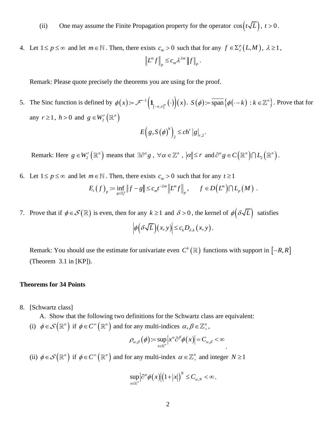- (ii) One may assume the Finite Propagation property for the operator  $cos(t\sqrt{L})$ ,  $t > 0$ .
- 4. Let  $1 \le p \le \infty$  and let  $m \in \mathbb{N}$ . Then, there exists  $c_m > 0$  such that for any  $f \in \Sigma_{\lambda}^p(L, M)$ ,  $\lambda \ge 1$ ,  $m \nvert\mathbf{r}\vert\vert\mathbf{r}$  2*m*  $L^m f \Big\|_p \leq c_m \lambda^{2m} \|f\|_p$ .

Remark: Please quote precisely the theorems you are using for the proof.

5. The Sinc function is defined by  $\phi(x) = \mathcal{F}^{-1}(\mathbf{1}_{[-\pi,\pi]^n}(\cdot))(x)$  $\phi(x) := \mathcal{F}^{-1}\left(\mathbf{1}_{[-\pi,\pi]^n}\left(\cdot\right)\right)(x)$  $=\mathscr{F}^{-1}\left(\mathbf{1}_{\left[-\pi,\pi\right]^n}\left(\cdot\right)\right)(x). S(\phi) \coloneqq \overline{\operatorname{span}}\left\{\phi\big(\cdot-k\big):k\in\mathbb{Z}^n\right\}.$ *n*  $S(\phi)$  :=  $\overline{\text{span}}\{\phi(\cdot - k) : k \in \mathbb{Z}^n\}$ . Prove that for any  $r \geq 1$ ,  $h > 0$  and  $g \in W_2^r(\mathbb{R}^n)$  $(g, S(\phi)^h)_{2} \le ch^r |g|_{r,2}$  $E\left(g, S(\phi)^h\right)_2 \le ch^r |g|_{r,2}.$ 

Remark: Here  $g \in W_2^r(\mathbb{R}^n)$  means that  $\exists \partial^\alpha g$ ,  $\forall \alpha \in \mathbb{Z}^n$ ,  $|\alpha| \leq r$  and  $\partial^\alpha g \in C(\mathbb{R}^n) \cap L_2(\mathbb{R}^n)$ .

- 6. Let  $1 \le p \le \infty$  and let  $m \in \mathbb{N}$ . Then, there exists  $c_m > 0$  such that for any  $t \ge 1$  $(f)$ <sub>n</sub> := inf  $||f - g|| \leq c_m t^{-2}$  $\lim_{g \in \Sigma_t^p}$ *m m*  $E_t(f)_{p} := \inf_{g \in \Sigma_t^p} ||f - g|| \le c_m t^{-2m} ||L^m f||_{p}, \quad f \in D(L^m) \cap L_p(M)$ *m*  $f \in D(L^m) \cap L_p(M)$ .
- 7. Prove that if  $\phi \in \mathcal{S}(\mathbb{R})$  is even, then for any  $k \ge 1$  and  $\delta > 0$ , the kernel of  $\phi(\delta \sqrt{L})$  satisfies

$$
\left|\phi\big(\delta\sqrt{L}\big)(x,y)\right|\leq c_k D_{\delta,k}(x,y).
$$

Remark: You should use the estimate for univariate even  $C^k(\mathbb{R})$  functions with support in  $[-R, R]$ (Theorem 3.1 in [KP]).

## **Theorems for 34 Points**

8. [Schwartz class]

A. Show that the following two definitions for the Schwartz class are equivalent:

(i)  $\phi \in \mathcal{S}(\mathbb{R}^n)$  if  $\phi \in C^{\infty}(\mathbb{R}^n)$  and for any multi-indices  $\alpha, \beta \in \mathbb{Z}_+^n$ ,

$$
\rho_{\alpha,\beta}(\phi) := \sup_{x \in \mathbb{R}^n} \left| x^{\alpha} \partial^{\beta} \phi(x) \right| = C_{\alpha,\beta} < \infty
$$

.

(ii)  $\phi \in \mathcal{S}(\mathbb{R}^n)$  if  $\phi \in C^\infty(\mathbb{R}^n)$  and for any multi-index  $\alpha \in \mathbb{Z}_+^n$  and integer  $N \ge 1$ 

$$
\sup_{x\in\mathbb{R}^n}\Big|\partial^\alpha\phi\big(x\big)\Big|\big(1+\big|x\big|\big)^\mathcal{N}\leq C_{\alpha,\mathcal{N}}<\infty\,.
$$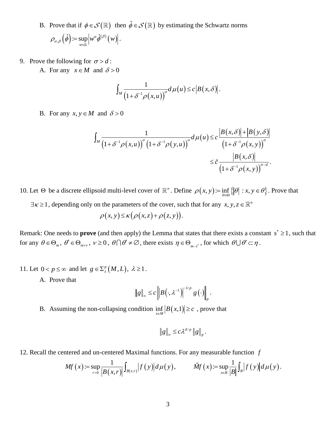- B. Prove that if  $\phi \in \mathcal{S}(\mathbb{R})$  then  $\hat{\phi} \in \mathcal{S}(\mathbb{R})$  by estimating the Schwartz norms  $\rho_{\alpha,\beta}(\hat{\phi}) = \sup_{w \in \mathbb{R}} \left| w^{\alpha} \hat{\phi}^{(\beta)}(w) \right|$  $=\sup |w^{\alpha}\phi^{(\beta)}(w)|.$
- 9. Prove the following for  $\sigma > d$ :
	- A. For any  $x \in M$  and  $\delta > 0$

$$
\int_M \frac{1}{\left(1+\delta^{-1}\rho(x,u)\right)^{\sigma}}d\mu(u)\leq c\left|B(x,\delta)\right|.
$$

B. For any  $x, y \in M$  and  $\delta > 0$ 

$$
I \text{ and } \delta > 0
$$
\n
$$
\int_{M} \frac{1}{\left(1 + \delta^{-1} \rho(x, u)\right)^{\sigma} \left(1 + \delta^{-1} \rho(y, u)\right)^{\sigma}} d\mu(u) \leq c \frac{\left|B(x, \delta)\right| + \left|B(y, \delta)\right|}{\left(1 + \delta^{-1} \rho(x, y)\right)^{\sigma}}
$$
\n
$$
\leq \tilde{c} \frac{\left|B(x, \delta)\right|}{\left(1 + \delta^{-1} \rho(x, y)\right)^{\sigma - d}}.
$$

10. Let  $\Theta$  be a discrete ellipsoid multi-level cover of  $\mathbb{R}^n$ . Define  $\rho(x, y) = \inf_{\theta \in \Theta} \{\vert \theta \vert : x, y \in \theta\}$ . Prove that

 $\exists \kappa \geq 1$ , depending only on the parameters of the cover, such that for any x, y, z  $\in \mathbb{R}^n$ 

$$
\rho(x, y) \le \kappa \big( \rho(x, z) + \rho(z, y) \big).
$$

Remark: One needs to **prove** (and then apply) the Lemma that states that there exists a constant  $s^* \geq 1$ , such that for any  $\theta \in \Theta_m$ ,  $\theta' \in \Theta_{m+\nu}$ ,  $\nu \ge 0$ ,  $\theta \cap \theta' \ne \emptyset$ , there exists  $\eta \in \Theta_{m-s^*}$ , for which  $\theta \cup \theta' \subset \eta$ .

- 11. Let  $0 < p \leq \infty$  and let  $g \in \sum_{\lambda}^{p} (M, L)$ ,  $\lambda \geq 1$ .
	- A. Prove that

$$
\|g\|_{\infty} \leq c \left\| B\left(\cdot,\lambda^{-1}\right)\right|^{-1/p} g\left(\cdot\right)\right\|_{p}.
$$

B. Assuming the non-collapsing condition  $\inf_{x \in M} |B(x,1)| \ge c$ , prove that

$$
||g||_{\infty} \leq c \lambda^{d/p} ||g||_{p}.
$$

12. Recall the centered and un-centered Maximal functions. For any measurable function 
$$
f
$$
  
\n
$$
Mf(x) := \sup_{r>0} \frac{1}{|B(x,r)|} \int_{B(x,r)} |f(y)| d\mu(y), \qquad \tilde{M}f(x) := \sup_{x \in B} \frac{1}{|B|} \int_{B} |f(y)| d\mu(y).
$$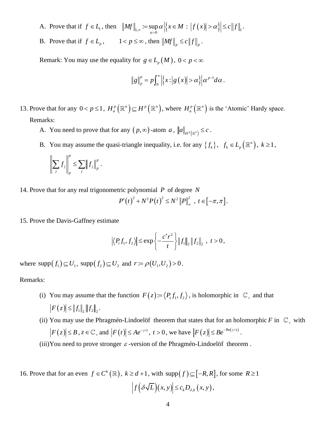- A. Prove that if  $f \in L_1$ , then  $||Mf||_{L,\infty} := \sup_{\alpha>0} \alpha \Big| \Big\{ x \in M : |f(x)| > \alpha \Big\} \Big| \le c ||f||_1$ .
- B. Prove that if  $f \in L_p$ ,  $1 < p \le \infty$ , then  $\left\| Mf \right\|_p \le c \left\| f \right\|_p$ .

Remark: You may use the equality for  $g \in L_p(M)$ ,  $0 < p < \infty$ 

$$
\|g\|_p^p = p \int_0^\infty \Big| \Big\{ x : \Big| g(x) \Big| > \alpha \Big\} \Big| \alpha^{p-1} d\alpha \, .
$$

- 13. Prove that for any  $0 < p \le 1$ ,  $H_a^p(\mathbb{R}^n) \subseteq H^p(\mathbb{R}^n)$ , where  $H_a^p(\mathbb{R}^n)$  is the 'Atomic' Hardy space. Remarks:
	- A. You need to prove that for any  $(p, \infty)$ -atom  $a$ ,  $||a||_{H^p(\mathbb{R}^n)} \leq c$ .
	- B. You may assume the quasi-triangle inequality, i.e. for any  $\{f_k\}$ ,  $f_k \in L_p(\mathbb{R}^n)$ ,  $k \ge 1$ ,

$$
\left\| \sum_j f_j \right\|_p^p \leq \sum_j \left\| f_j \right\|_p^p.
$$

14. Prove that for any real trigonometric polynomial *P* of degree *N*

$$
P'(t)^{2} + N^{2}P(t)^{2} \leq N^{2} ||P||_{\infty}^{2}, t \in [-\pi, \pi].
$$

15. Prove the Davis-Gaffney estimate

$$
|\langle P_t f_1, f_2 \rangle| \le \exp\left\{-\frac{c^* r^2}{t}\right\} ||f_1||_2 ||f_2||_2 , t > 0,
$$

where  $\text{supp}(f_1) \subseteq U_1$ ,  $\text{supp}(f_2) \subseteq U_2$  and  $r = \rho(U_1, U_2) > 0$ .

## Remarks:

- (i) You may assume that the function  $F(z) := \langle P_z f_1, f_2 \rangle$ , is holomorphic in  $\mathbb{C}_+$  and that  $|F(z)| \leq ||f_1||, ||f_2||,$
- (ii) You may use the Phragmén-Lindoelöf theorem that states that for an holomorphic F in  $\mathbb{C}_+$  with  $F(z) \leq B$ ,  $z \in \mathbb{C}_+$  and  $|F(t)| \leq Ae^{-\gamma/t}$ ,  $t > 0$ , we have  $|F(z)| \leq Be^{-Re(\gamma/z)}$ .

(iii) You need to prove stronger  $\varepsilon$ -version of the Phragmén-Lindoelöf theorem.

16. Prove that for an even  $f \in C^k(\mathbb{R})$ ,  $k \ge d+1$ , with supp $(f) \subseteq [-R, R]$ , for some  $R \ge 1$  $\left| f\left(\delta\sqrt{L}\right)(x, y)\right| \leq c_k D_{\delta,k}(x, y),$